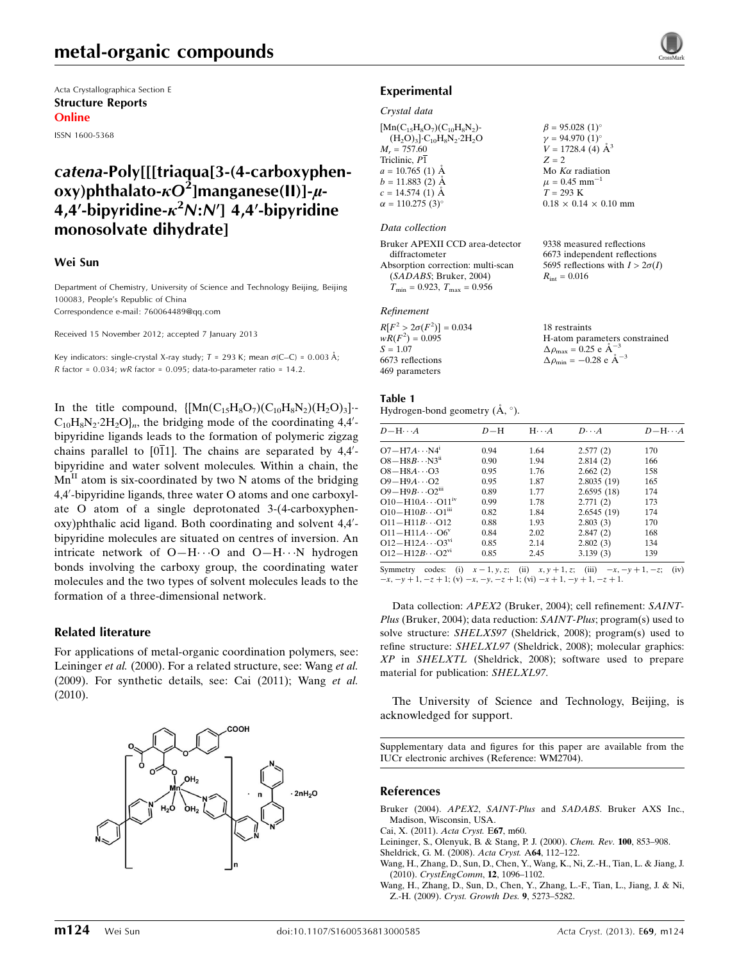Acta Crystallographica Section E Structure Reports Online

ISSN 1600-5368

#### catena-Poly[[[triaqua[3-(4-carboxyphenoxy)phthalato- $\kappa O^2$ ]manganese(II)]- $\mu$ -4,4'-bipyridine- $\kappa^2 N; N'$ ] 4,4'-bipyridine monosolvate dihydrate]

#### Wei Sun

Department of Chemistry, University of Science and Technology Beijing, Beijing 100083, People's Republic of China Correspondence e-mail: [760064489@qq.com](https://scripts.iucr.org/cgi-bin/cr.cgi?rm=pdfbb&cnor=wm2704&bbid=BB6)

Received 15 November 2012; accepted 7 January 2013

Key indicators: single-crystal X-ray study;  $T = 293$  K; mean  $\sigma$ (C–C) = 0.003 Å;  $R$  factor = 0.034;  $wR$  factor = 0.095; data-to-parameter ratio = 14.2.

In the title compound,  $\left\{ \left[ \text{Mn}(C_{15}H_8O_7)(C_{10}H_8N_2)(H_2O)_3 \right] \right\}$ .  $C_{10}H_8N_2.2H_2O\}$ <sub>n</sub>, the bridging mode of the coordinating 4,4'bipyridine ligands leads to the formation of polymeric zigzag chains parallel to  $[0\overline{1}1]$ . The chains are separated by 4,4'bipyridine and water solvent molecules. Within a chain, the  $Mn<sup>H</sup>$  atom is six-coordinated by two N atoms of the bridging 4,4'-bipyridine ligands, three water O atoms and one carboxylate O atom of a single deprotonated 3-(4-carboxyphenoxy)phthalic acid ligand. Both coordinating and solvent 4,4'bipyridine molecules are situated on centres of inversion. An intricate network of  $O-H\cdots O$  and  $O-H\cdots N$  hydrogen bonds involving the carboxy group, the coordinating water molecules and the two types of solvent molecules leads to the formation of a three-dimensional network.

#### Related literature

For applications of metal-organic coordination polymers, see: Leininger et al. (2000). For a related structure, see: Wang et al. (2009). For synthetic details, see: Cai (2011); Wang et al. (2010).



### Experimental

#### Crystal data

 $[Mn(C_{15}H_8O_7)(C_{10}H_8N_2) (H_2O)_3]$ ·C<sub>10</sub>H<sub>8</sub>N<sub>2</sub>·2H<sub>2</sub>O  $M_r = 757.60$ Triclinic, P1  $a = 10.765(1)$  Å  $b = 11.883(2)$  Å  $c = 14.574(1)$  Å  $\alpha = 110.275 \ (3)^{\circ}$  $\beta = 95.028$  (1)<sup>o</sup>  $y = 94.970$  (1)<sup>o</sup>  $V = 1728.4$  (4)  $\AA^3$  $Z = 2$ Mo  $K\alpha$  radiation  $\mu = 0.45$  mm<sup>-1</sup>  $T = 293$  K

#### Data collection

Bruker APEXII CCD area-detector diffractometer Absorption correction: multi-scan (SADABS; Bruker, 2004)  $T_{\text{min}} = 0.923$ ,  $T_{\text{max}} = 0.956$ 

#### Refinement

| $R[F^2 > 2\sigma(F^2)] = 0.034$ |
|---------------------------------|
| $wR(F^2) = 0.095$               |
| $S = 1.07$                      |
| 6673 reflections                |
| 469 parameters                  |

# $0.18 \times 0.14 \times 0.10$  mm

9338 measured reflections 6673 independent reflections 5695 reflections with  $I > 2\sigma(I)$  $R_{\text{int}} = 0.016$ 

18 restraints H-atom parameters constrained  $\Delta \rho_{\text{max}} = 0.25 \text{ e A}^{-3}$  $\Delta \rho_{\rm min} = -0.28 \text{ e } \text{\AA}^{-3}$ 

#### Table 1

Hydrogen-bond geometry  $(A, \circ)$ .

| $D - H \cdots A$                    | $D-H$ | $H \cdots A$ | $D \cdot \cdot \cdot A$ | $D - H \cdots A$ |
|-------------------------------------|-------|--------------|-------------------------|------------------|
| $O7 - H7A \cdots N4$                | 0.94  | 1.64         | 2.577(2)                | 170              |
| $O8 - H8B \cdots N3$ <sup>ii</sup>  | 0.90  | 1.94         | 2.814(2)                | 166              |
| $O8 - H8A \cdots O3$                | 0.95  | 1.76         | 2.662(2)                | 158              |
| $O9 - H9A \cdots O2$                | 0.95  | 1.87         | 2.8035(19)              | 165              |
| $O9 - H9B \cdots O2$ <sup>iii</sup> | 0.89  | 1.77         | 2.6595(18)              | 174              |
| $O10 - H10A \cdots O11^{IV}$        | 0.99  | 1.78         | 2.771(2)                | 173              |
| $O10 - H10B \cdots O1m$             | 0.82  | 1.84         | 2.6545(19)              | 174              |
| $O11 - H11B \cdots O12$             | 0.88  | 1.93         | 2.803(3)                | 170              |
| $O11 - H11A \cdots O6^v$            | 0.84  | 2.02         | 2.847(2)                | 168              |
| $O12 - H12A \cdots O3^{v_1}$        | 0.85  | 2.14         | 2.802(3)                | 134              |
| $O12 - H12B \cdots O2^{v_1}$        | 0.85  | 2.45         | 3.139(3)                | 139              |

Symmetry codes: (i)  $x - 1, y, z$ ; (ii)  $x, y + 1, z$ ; (iii)  $-x, -y + 1, -z$ ; (iv)  $-x, -y + 1, -z + 1$ ; (v)  $-x, -y, -z + 1$ ; (vi)  $-x + 1, -y + 1, -z + 1$ .

Data collection: APEX2 (Bruker, 2004); cell refinement: SAINT-Plus (Bruker, 2004); data reduction: SAINT-Plus; program(s) used to solve structure: SHELXS97 (Sheldrick, 2008); program(s) used to refine structure: SHELXL97 (Sheldrick, 2008); molecular graphics: XP in SHELXTL (Sheldrick, 2008); software used to prepare material for publication: SHELXL97.

The University of Science and Technology, Beijing, is acknowledged for support.

Supplementary data and figures for this paper are available from the IUCr electronic archives (Reference: WM2704).

#### References

- Bruker (2004). APEX2, SAINT-Plus and SADABS[. Bruker AXS Inc.,](https://scripts.iucr.org/cgi-bin/cr.cgi?rm=pdfbb&cnor=wm2704&bbid=BB1) [Madison, Wisconsin, USA.](https://scripts.iucr.org/cgi-bin/cr.cgi?rm=pdfbb&cnor=wm2704&bbid=BB1)
- [Cai, X. \(2011\).](https://scripts.iucr.org/cgi-bin/cr.cgi?rm=pdfbb&cnor=wm2704&bbid=BB2) Acta Cryst. E67, m60.
- [Leininger, S., Olenyuk, B. & Stang, P. J. \(2000\).](https://scripts.iucr.org/cgi-bin/cr.cgi?rm=pdfbb&cnor=wm2704&bbid=BB3) Chem. Rev. 100, 853–908.
- [Sheldrick, G. M. \(2008\).](https://scripts.iucr.org/cgi-bin/cr.cgi?rm=pdfbb&cnor=wm2704&bbid=BB4) Acta Cryst. A64, 112–122.
- [Wang, H., Zhang, D., Sun, D., Chen, Y., Wang, K., Ni, Z.-H., Tian, L. & Jiang, J.](https://scripts.iucr.org/cgi-bin/cr.cgi?rm=pdfbb&cnor=wm2704&bbid=BB5) (2010). [CrystEngComm](https://scripts.iucr.org/cgi-bin/cr.cgi?rm=pdfbb&cnor=wm2704&bbid=BB5), 12, 1096–1102.
- [Wang, H., Zhang, D., Sun, D., Chen, Y., Zhang, L.-F., Tian, L., Jiang, J. & Ni,](https://scripts.iucr.org/cgi-bin/cr.cgi?rm=pdfbb&cnor=wm2704&bbid=BB6) Z.-H. (2009). [Cryst. Growth Des.](https://scripts.iucr.org/cgi-bin/cr.cgi?rm=pdfbb&cnor=wm2704&bbid=BB6) 9, 5273–5282.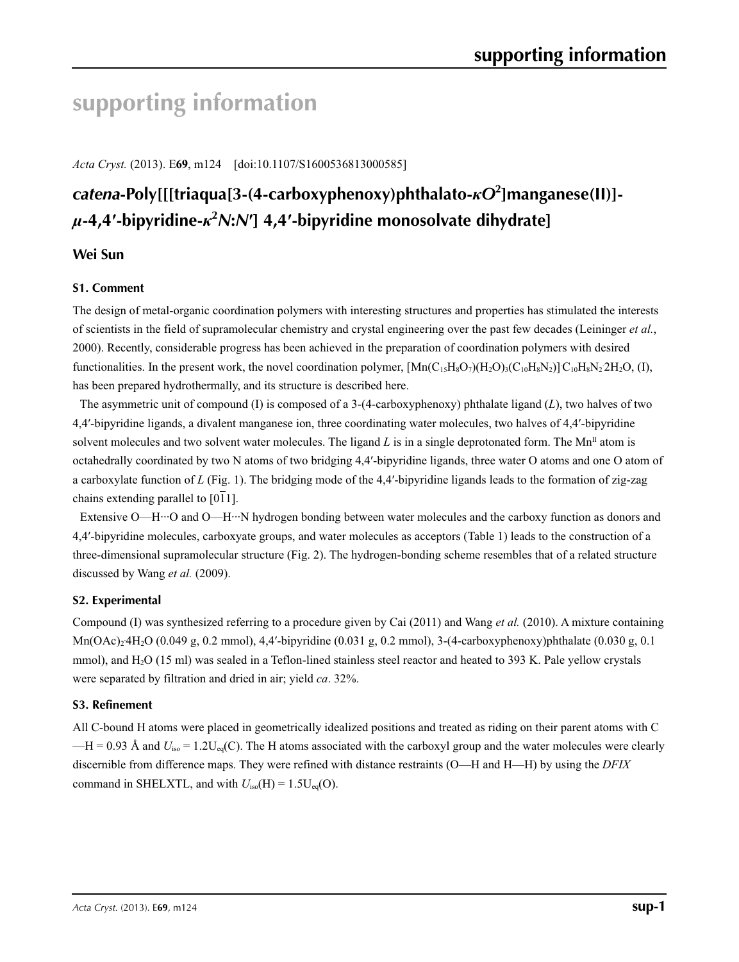## **supporting information**

*Acta Cryst.* (2013). E**69**, m124 [doi:10.1107/S1600536813000585]

## *catena***-Poly[[[triaqua[3-(4-carboxyphenoxy)phthalato-***κO***<sup>2</sup> ]manganese(II)]** *µ***-4,4′-bipyridine-***κ***<sup>2</sup>** *N***:***N***′] 4,4′-bipyridine monosolvate dihydrate]**

#### **Wei Sun**

#### **S1. Comment**

The design of metal-organic coordination polymers with interesting structures and properties has stimulated the interests of scientists in the field of supramolecular chemistry and crystal engineering over the past few decades (Leininger *et al.*, 2000). Recently, considerable progress has been achieved in the preparation of coordination polymers with desired functionalities. In the present work, the novel coordination polymer,  $[Mn(C_{15}H_8O_7)(H_2O)_3(C_{10}H_8N_2)C_{10}H_8N_22H_2O, (I),$ has been prepared hydrothermally, and its structure is described here.

The asymmetric unit of compound (I) is composed of a 3-(4-carboxyphenoxy) phthalate ligand (*L*), two halves of two 4,4′-bipyridine ligands, a divalent manganese ion, three coordinating water molecules, two halves of 4,4′-bipyridine solvent molecules and two solvent water molecules. The ligand  $L$  is in a single deprotonated form. The Mn<sup>II</sup> atom is octahedrally coordinated by two N atoms of two bridging 4,4′-bipyridine ligands, three water O atoms and one O atom of a carboxylate function of *L* (Fig. 1). The bridging mode of the 4,4′-bipyridine ligands leads to the formation of zig-zag chains extending parallel to  $[0\overline{1}1]$ .

Extensive O—H···O and O—H···N hydrogen bonding between water molecules and the carboxy function as donors and 4,4′-bipyridine molecules, carboxyate groups, and water molecules as acceptors (Table 1) leads to the construction of a three-dimensional supramolecular structure (Fig. 2). The hydrogen-bonding scheme resembles that of a related structure discussed by Wang *et al.* (2009).

#### **S2. Experimental**

Compound (I) was synthesized referring to a procedure given by Cai (2011) and Wang *et al.* (2010). A mixture containing Mn(OAc)<sub>2</sub> 4H<sub>2</sub>O (0.049 g, 0.2 mmol), 4,4'-bipyridine (0.031 g, 0.2 mmol), 3-(4-carboxyphenoxy)phthalate (0.030 g, 0.1 mmol), and H<sub>2</sub>O (15 ml) was sealed in a Teflon-lined stainless steel reactor and heated to 393 K. Pale yellow crystals were separated by filtration and dried in air; yield *ca*. 32%.

#### **S3. Refinement**

All C-bound H atoms were placed in geometrically idealized positions and treated as riding on their parent atoms with C  $-H = 0.93$  Å and  $U_{\text{iso}} = 1.2U_{\text{eq}}(C)$ . The H atoms associated with the carboxyl group and the water molecules were clearly discernible from difference maps. They were refined with distance restraints (O—H and H—H) by using the *DFIX* command in SHELXTL, and with  $U_{iso}(H) = 1.5U_{eq}(O)$ .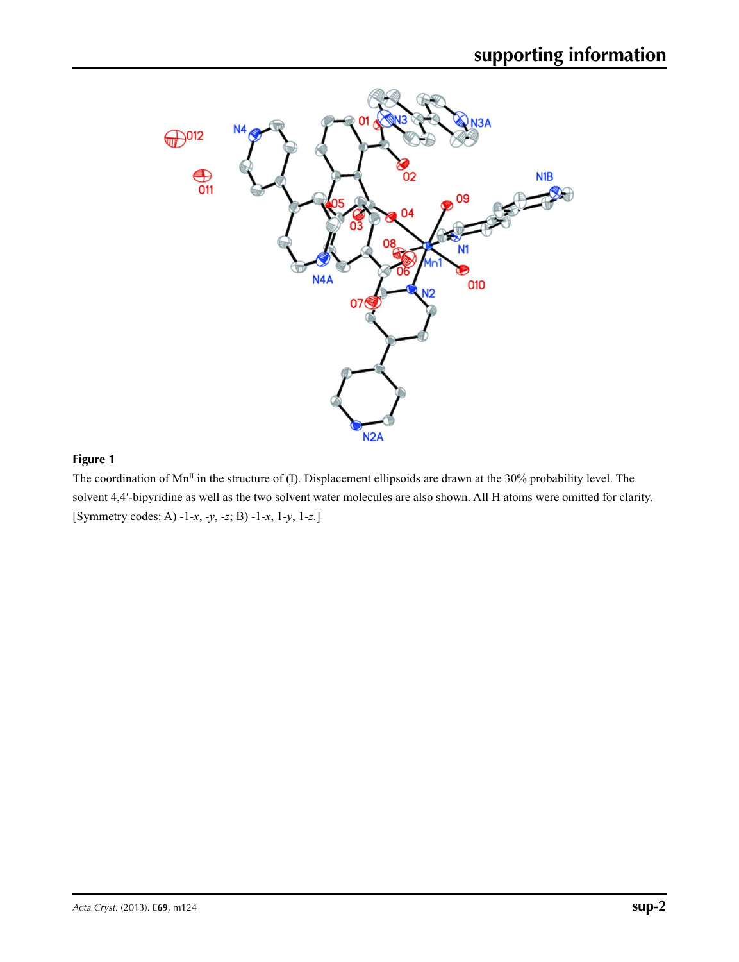

#### **Figure 1**

The coordination of Mn<sup>II</sup> in the structure of (I). Displacement ellipsoids are drawn at the 30% probability level. The solvent 4,4′-bipyridine as well as the two solvent water molecules are also shown. All H atoms were omitted for clarity. [Symmetry codes: A) -1-*x*, -*y*, -*z*; B) -1-*x*, 1-*y*, 1-*z*.]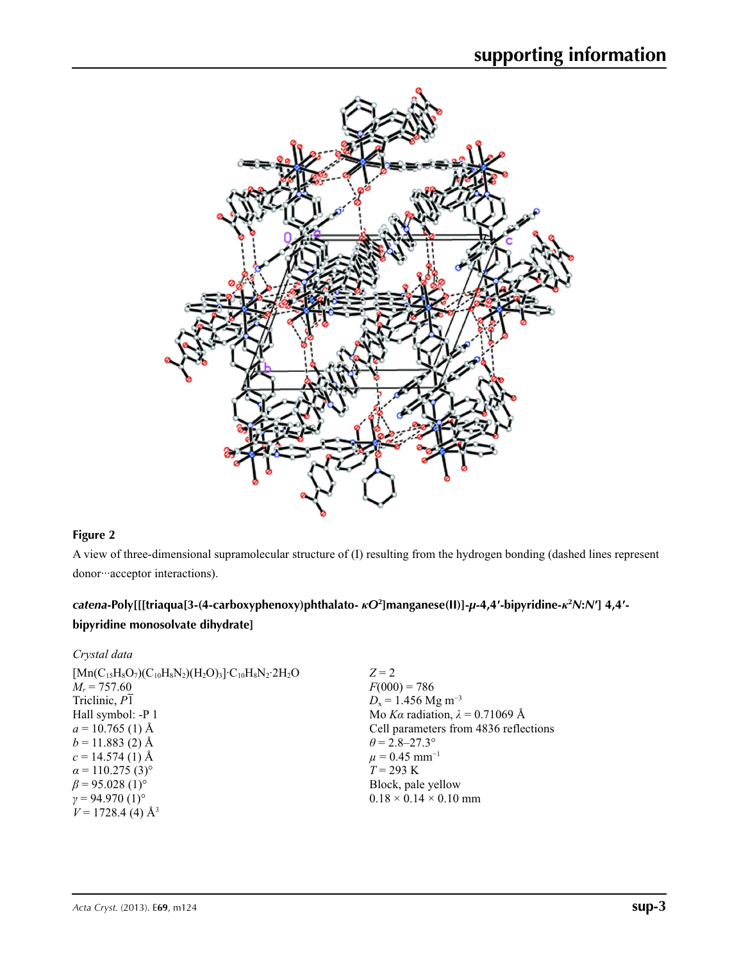

#### **Figure 2**

A view of three-dimensional supramolecular structure of (I) resulting from the hydrogen bonding (dashed lines represent donor···acceptor interactions).

#### catena-Poly[[[triaqua[3-(4-carboxyphenoxy)phthalato-  $\kappa O^2$ ]manganese(II)]- $\mu$ -4,4'-bipyridine- $\kappa^2 N: N'$ ] 4,4'**bipyridine monosolvate dihydrate]**

| Crystal data                                                                                      |                                        |
|---------------------------------------------------------------------------------------------------|----------------------------------------|
| $[{\rm Mn}(C_{15}H_8O_7)(C_{10}H_8N_2)(H_2O)_3]$ <sup>-</sup> $C_{10}H_8N_2$ <sup>-</sup> $2H_2O$ | $Z = 2$                                |
| $M_r = 757.60$                                                                                    | $F(000) = 786$                         |
| Triclinic, P1                                                                                     | $D_x = 1.456$ Mg m <sup>-3</sup>       |
| Hall symbol: -P 1                                                                                 | Mo Ka radiation, $\lambda = 0.71069$ Å |
| $a = 10.765$ (1) Å                                                                                | Cell parameters from 4836 reflections  |
| $b = 11.883$ (2) Å                                                                                | $\theta$ = 2.8–27.3°                   |
| $c = 14.574$ (1) Å                                                                                | $\mu = 0.45$ mm <sup>-1</sup>          |
| $\alpha$ = 110.275 (3) <sup>o</sup>                                                               | $T = 293 \text{ K}$                    |
| $\beta$ = 95.028 (1) <sup>o</sup>                                                                 | Block, pale yellow                     |
| $\gamma = 94.970(1)$ °                                                                            | $0.18 \times 0.14 \times 0.10$ mm      |
| $V = 1728.4$ (4) Å <sup>3</sup>                                                                   |                                        |
|                                                                                                   |                                        |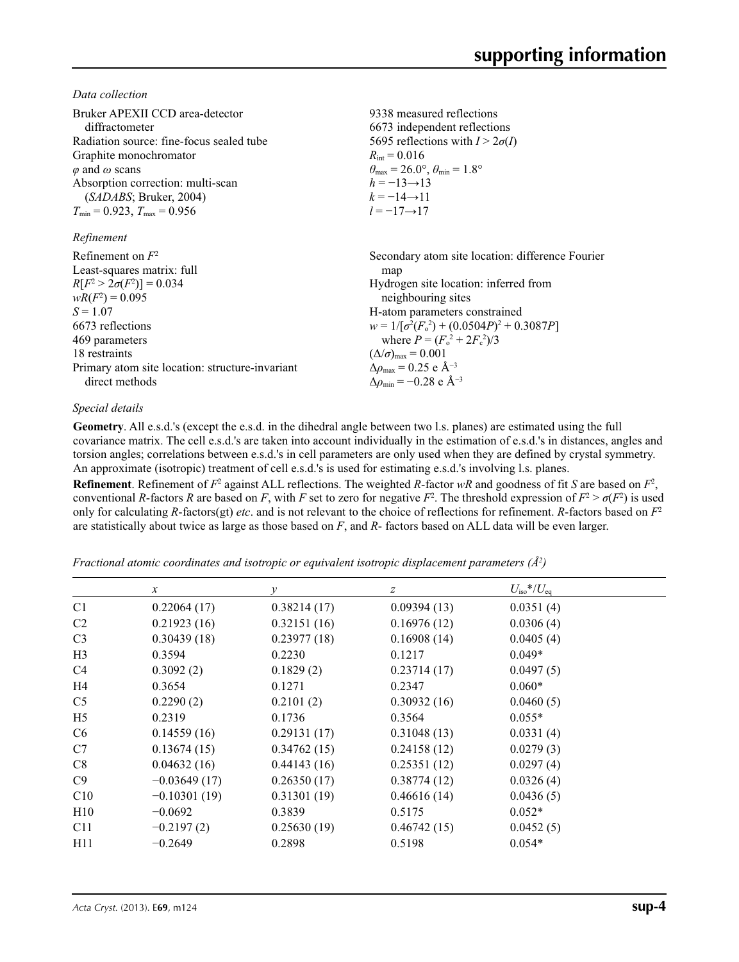*Data collection*

| Bruker APEXII CCD area-detector<br>diffractometer<br>Radiation source: fine-focus sealed tube<br>Graphite monochromator<br>$\varphi$ and $\omega$ scans<br>Absorption correction: multi-scan<br>(SADABS; Bruker, 2004)<br>$T_{\text{min}} = 0.923$ , $T_{\text{max}} = 0.956$<br>Refinement | 9338 measured reflections<br>6673 independent reflections<br>5695 reflections with $I > 2\sigma(I)$<br>$R_{\text{int}} = 0.016$<br>$\theta_{\text{max}} = 26.0^{\circ}, \theta_{\text{min}} = 1.8^{\circ}$<br>$h = -13 \rightarrow 13$<br>$k = -14 \rightarrow 11$<br>$l = -17 \rightarrow 17$ |
|---------------------------------------------------------------------------------------------------------------------------------------------------------------------------------------------------------------------------------------------------------------------------------------------|------------------------------------------------------------------------------------------------------------------------------------------------------------------------------------------------------------------------------------------------------------------------------------------------|
|                                                                                                                                                                                                                                                                                             |                                                                                                                                                                                                                                                                                                |
| Refinement on $F^2$<br>Least-squares matrix: full                                                                                                                                                                                                                                           | Secondary atom site location: difference Fourier<br>map                                                                                                                                                                                                                                        |
| $R[F^2 > 2\sigma(F^2)] = 0.034$                                                                                                                                                                                                                                                             | Hydrogen site location: inferred from                                                                                                                                                                                                                                                          |
| $wR(F^2) = 0.095$                                                                                                                                                                                                                                                                           | neighbouring sites                                                                                                                                                                                                                                                                             |
| $S = 1.07$                                                                                                                                                                                                                                                                                  | H-atom parameters constrained                                                                                                                                                                                                                                                                  |
| 6673 reflections                                                                                                                                                                                                                                                                            | $w = 1/[\sigma^2(F_0^2) + (0.0504P)^2 + 0.3087P]$                                                                                                                                                                                                                                              |
| 469 parameters                                                                                                                                                                                                                                                                              | where $P = (F_0^2 + 2F_c^2)/3$                                                                                                                                                                                                                                                                 |
| 18 restraints                                                                                                                                                                                                                                                                               | $(\Delta/\sigma)_{\text{max}} = 0.001$                                                                                                                                                                                                                                                         |
| Primary atom site location: structure-invariant                                                                                                                                                                                                                                             | $\Delta\rho_{\text{max}}$ = 0.25 e Å <sup>-3</sup>                                                                                                                                                                                                                                             |
| direct methods                                                                                                                                                                                                                                                                              | $\Delta\rho_{\rm min}$ = -0.28 e Å <sup>-3</sup>                                                                                                                                                                                                                                               |

#### *Special details*

**Geometry**. All e.s.d.'s (except the e.s.d. in the dihedral angle between two l.s. planes) are estimated using the full covariance matrix. The cell e.s.d.'s are taken into account individually in the estimation of e.s.d.'s in distances, angles and torsion angles; correlations between e.s.d.'s in cell parameters are only used when they are defined by crystal symmetry. An approximate (isotropic) treatment of cell e.s.d.'s is used for estimating e.s.d.'s involving l.s. planes.

**Refinement**. Refinement of  $F^2$  against ALL reflections. The weighted *R*-factor  $wR$  and goodness of fit *S* are based on  $F^2$ , conventional *R*-factors *R* are based on *F*, with *F* set to zero for negative  $F^2$ . The threshold expression of  $F^2 > \sigma(F^2)$  is used only for calculating *R*-factors(gt) *etc*. and is not relevant to the choice of reflections for refinement. *R*-factors based on *F*<sup>2</sup> are statistically about twice as large as those based on *F*, and *R*- factors based on ALL data will be even larger.

*Fractional atomic coordinates and isotropic or equivalent isotropic displacement parameters (Å<sup>2</sup>)* 

|                | $\mathcal{X}$  | $\mathcal{Y}$ | $\boldsymbol{Z}$ | $U_{\rm iso}$ */ $U_{\rm eq}$ |  |
|----------------|----------------|---------------|------------------|-------------------------------|--|
| C <sub>1</sub> | 0.22064(17)    | 0.38214(17)   | 0.09394(13)      | 0.0351(4)                     |  |
| C <sub>2</sub> | 0.21923(16)    | 0.32151(16)   | 0.16976(12)      | 0.0306(4)                     |  |
| C <sub>3</sub> | 0.30439(18)    | 0.23977(18)   | 0.16908(14)      | 0.0405(4)                     |  |
| H <sub>3</sub> | 0.3594         | 0.2230        | 0.1217           | $0.049*$                      |  |
| C <sub>4</sub> | 0.3092(2)      | 0.1829(2)     | 0.23714(17)      | 0.0497(5)                     |  |
| H4             | 0.3654         | 0.1271        | 0.2347           | $0.060*$                      |  |
| C <sub>5</sub> | 0.2290(2)      | 0.2101(2)     | 0.30932(16)      | 0.0460(5)                     |  |
| H <sub>5</sub> | 0.2319         | 0.1736        | 0.3564           | $0.055*$                      |  |
| C <sub>6</sub> | 0.14559(16)    | 0.29131(17)   | 0.31048(13)      | 0.0331(4)                     |  |
| C7             | 0.13674(15)    | 0.34762(15)   | 0.24158(12)      | 0.0279(3)                     |  |
| C8             | 0.04632(16)    | 0.44143(16)   | 0.25351(12)      | 0.0297(4)                     |  |
| C9             | $-0.03649(17)$ | 0.26350(17)   | 0.38774(12)      | 0.0326(4)                     |  |
| C10            | $-0.10301(19)$ | 0.31301(19)   | 0.46616(14)      | 0.0436(5)                     |  |
| H10            | $-0.0692$      | 0.3839        | 0.5175           | $0.052*$                      |  |
| C11            | $-0.2197(2)$   | 0.25630(19)   | 0.46742(15)      | 0.0452(5)                     |  |
| H11            | $-0.2649$      | 0.2898        | 0.5198           | $0.054*$                      |  |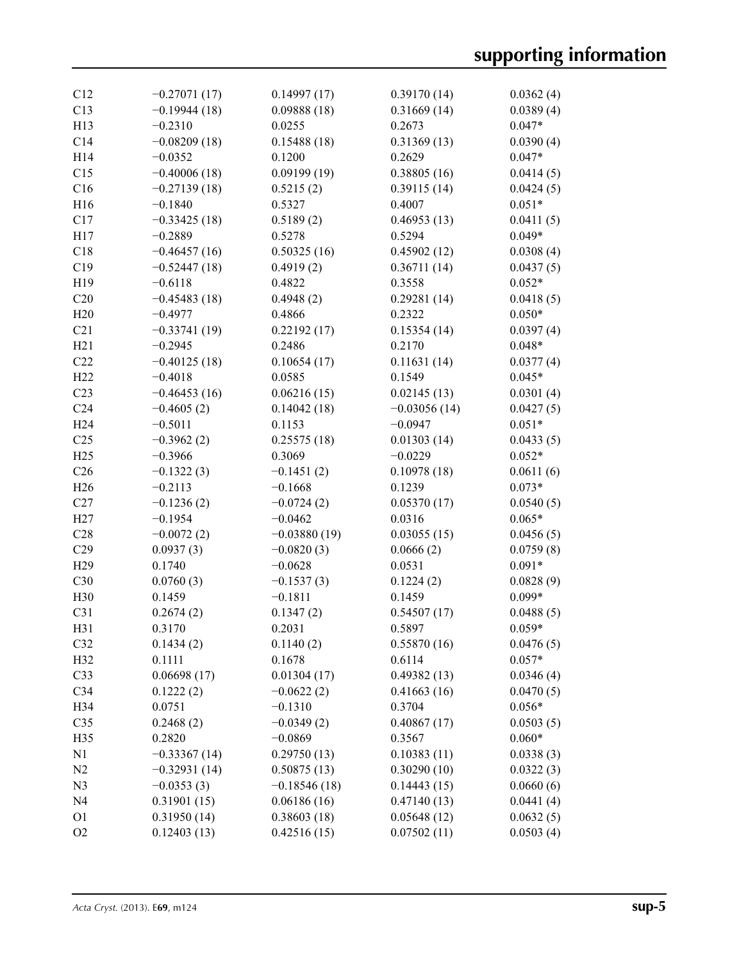| C13<br>$-0.19944(18)$<br>0.0389(4)<br>0.09888(18)<br>0.31669(14)<br>$0.047*$<br>H13<br>$-0.2310$<br>0.0255<br>0.2673<br>C14<br>$-0.08209(18)$<br>0.15488(18)<br>0.31369(13)<br>0.0390(4)<br>$-0.0352$<br>$0.047*$<br>H14<br>0.1200<br>0.2629<br>C15<br>$-0.40006(18)$<br>0.09199(19)<br>0.38805(16)<br>0.0414(5)<br>C16<br>$-0.27139(18)$<br>0.5215(2)<br>0.39115(14)<br>0.0424(5)<br>H16<br>$-0.1840$<br>0.5327<br>0.4007<br>$0.051*$<br>C17<br>$-0.33425(18)$<br>0.5189(2)<br>0.46953(13)<br>0.0411(5)<br>$0.049*$<br>$-0.2889$<br>0.5278<br>0.5294<br>H17<br>C18<br>$-0.46457(16)$<br>0.50325(16)<br>0.45902(12)<br>0.0308(4)<br>C19<br>$-0.52447(18)$<br>0.4919(2)<br>0.36711(14)<br>0.0437(5)<br>H19<br>$-0.6118$<br>0.4822<br>$0.052*$<br>0.3558<br>C20<br>$-0.45483(18)$<br>0.4948(2)<br>0.29281(14)<br>0.0418(5)<br>$0.050*$<br>H20<br>$-0.4977$<br>0.4866<br>0.2322<br>C21<br>$-0.33741(19)$<br>0.22192(17)<br>0.15354(14)<br>0.0397(4)<br>H21<br>$-0.2945$<br>0.2170<br>$0.048*$<br>0.2486<br>C22<br>$-0.40125(18)$<br>0.10654(17)<br>0.11631(14)<br>0.0377(4)<br>H <sub>22</sub><br>$-0.4018$<br>$0.045*$<br>0.0585<br>0.1549<br>C23<br>$-0.46453(16)$<br>0.06216(15)<br>0.02145(13)<br>0.0301(4)<br>C <sub>24</sub><br>$-0.4605(2)$<br>0.14042(18)<br>$-0.03056(14)$<br>0.0427(5)<br>H <sub>24</sub><br>$-0.5011$<br>$-0.0947$<br>$0.051*$<br>0.1153<br>C <sub>25</sub><br>$-0.3962(2)$<br>0.25575(18)<br>0.01303(14)<br>0.0433(5)<br>H25<br>$-0.3966$<br>0.3069<br>$-0.0229$<br>$0.052*$<br>C <sub>26</sub><br>$-0.1322(3)$<br>$-0.1451(2)$<br>0.10978(18)<br>0.0611(6)<br>$0.073*$<br>H <sub>26</sub><br>$-0.2113$<br>$-0.1668$<br>0.1239<br>C27<br>$-0.0724(2)$<br>0.05370(17)<br>$-0.1236(2)$<br>0.0540(5)<br>$-0.0462$<br>0.0316<br>$0.065*$<br>H27<br>$-0.1954$<br>C28<br>$-0.0072(2)$<br>$-0.03880(19)$<br>0.03055(15)<br>0.0456(5)<br>C29<br>$-0.0820(3)$<br>0.0937(3)<br>0.0666(2)<br>0.0759(8)<br>H <sub>29</sub><br>0.1740<br>$-0.0628$<br>$0.091*$<br>0.0531<br>C30<br>0.0760(3)<br>$-0.1537(3)$<br>0.1224(2)<br>0.0828(9)<br>$0.099*$<br>H30<br>0.1459<br>$-0.1811$<br>0.1459<br>C31<br>0.0488(5)<br>0.2674(2)<br>0.1347(2)<br>0.54507(17)<br>H31<br>$0.059*$<br>0.3170<br>0.2031<br>0.5897<br>C32<br>0.1434(2)<br>0.55870(16)<br>0.1140(2)<br>0.0476(5)<br>H32<br>$0.057*$<br>0.1111<br>0.1678<br>0.6114<br>C33<br>0.06698(17)<br>0.01304(17)<br>0.49382(13)<br>0.0346(4)<br>C34<br>$-0.0622(2)$<br>0.41663(16)<br>0.0470(5)<br>0.1222(2)<br>0.0751<br>H34<br>$-0.1310$<br>0.3704<br>$0.056*$<br>C35<br>0.2468(2)<br>$-0.0349(2)$<br>0.40867(17)<br>0.0503(5)<br>H35<br>$0.060*$<br>0.2820<br>$-0.0869$<br>0.3567<br>N1<br>$-0.33367(14)$<br>0.29750(13)<br>0.10383(11)<br>0.0338(3)<br>N2<br>$-0.32931(14)$<br>0.50875(13)<br>0.30290(10)<br>0.0322(3)<br>N <sub>3</sub><br>$-0.0353(3)$<br>$-0.18546(18)$<br>0.14443(15)<br>0.0660(6)<br>N <sub>4</sub><br>0.31901(15)<br>0.06186(16)<br>0.47140(13)<br>0.0441(4)<br>O <sub>1</sub><br>0.31950(14)<br>0.38603(18)<br>0.05648(12)<br>0.0632(5)<br>0.42516(15)<br>0.12403(13)<br>0.07502(11)<br>0.0503(4)<br>O <sub>2</sub> | C12 | $-0.27071(17)$ | 0.14997(17) | 0.39170(14) | 0.0362(4) |
|-------------------------------------------------------------------------------------------------------------------------------------------------------------------------------------------------------------------------------------------------------------------------------------------------------------------------------------------------------------------------------------------------------------------------------------------------------------------------------------------------------------------------------------------------------------------------------------------------------------------------------------------------------------------------------------------------------------------------------------------------------------------------------------------------------------------------------------------------------------------------------------------------------------------------------------------------------------------------------------------------------------------------------------------------------------------------------------------------------------------------------------------------------------------------------------------------------------------------------------------------------------------------------------------------------------------------------------------------------------------------------------------------------------------------------------------------------------------------------------------------------------------------------------------------------------------------------------------------------------------------------------------------------------------------------------------------------------------------------------------------------------------------------------------------------------------------------------------------------------------------------------------------------------------------------------------------------------------------------------------------------------------------------------------------------------------------------------------------------------------------------------------------------------------------------------------------------------------------------------------------------------------------------------------------------------------------------------------------------------------------------------------------------------------------------------------------------------------------------------------------------------------------------------------------------------------------------------------------------------------------------------------------------------------------------------------------------------------------------------------------------------------------------------------------------------------------------------------------------------------------------------------------------------------------------------------------------------------------------------------------------------------------------------------------------------------------------------------------------|-----|----------------|-------------|-------------|-----------|
|                                                                                                                                                                                                                                                                                                                                                                                                                                                                                                                                                                                                                                                                                                                                                                                                                                                                                                                                                                                                                                                                                                                                                                                                                                                                                                                                                                                                                                                                                                                                                                                                                                                                                                                                                                                                                                                                                                                                                                                                                                                                                                                                                                                                                                                                                                                                                                                                                                                                                                                                                                                                                                                                                                                                                                                                                                                                                                                                                                                                                                                                                                       |     |                |             |             |           |
|                                                                                                                                                                                                                                                                                                                                                                                                                                                                                                                                                                                                                                                                                                                                                                                                                                                                                                                                                                                                                                                                                                                                                                                                                                                                                                                                                                                                                                                                                                                                                                                                                                                                                                                                                                                                                                                                                                                                                                                                                                                                                                                                                                                                                                                                                                                                                                                                                                                                                                                                                                                                                                                                                                                                                                                                                                                                                                                                                                                                                                                                                                       |     |                |             |             |           |
|                                                                                                                                                                                                                                                                                                                                                                                                                                                                                                                                                                                                                                                                                                                                                                                                                                                                                                                                                                                                                                                                                                                                                                                                                                                                                                                                                                                                                                                                                                                                                                                                                                                                                                                                                                                                                                                                                                                                                                                                                                                                                                                                                                                                                                                                                                                                                                                                                                                                                                                                                                                                                                                                                                                                                                                                                                                                                                                                                                                                                                                                                                       |     |                |             |             |           |
|                                                                                                                                                                                                                                                                                                                                                                                                                                                                                                                                                                                                                                                                                                                                                                                                                                                                                                                                                                                                                                                                                                                                                                                                                                                                                                                                                                                                                                                                                                                                                                                                                                                                                                                                                                                                                                                                                                                                                                                                                                                                                                                                                                                                                                                                                                                                                                                                                                                                                                                                                                                                                                                                                                                                                                                                                                                                                                                                                                                                                                                                                                       |     |                |             |             |           |
|                                                                                                                                                                                                                                                                                                                                                                                                                                                                                                                                                                                                                                                                                                                                                                                                                                                                                                                                                                                                                                                                                                                                                                                                                                                                                                                                                                                                                                                                                                                                                                                                                                                                                                                                                                                                                                                                                                                                                                                                                                                                                                                                                                                                                                                                                                                                                                                                                                                                                                                                                                                                                                                                                                                                                                                                                                                                                                                                                                                                                                                                                                       |     |                |             |             |           |
|                                                                                                                                                                                                                                                                                                                                                                                                                                                                                                                                                                                                                                                                                                                                                                                                                                                                                                                                                                                                                                                                                                                                                                                                                                                                                                                                                                                                                                                                                                                                                                                                                                                                                                                                                                                                                                                                                                                                                                                                                                                                                                                                                                                                                                                                                                                                                                                                                                                                                                                                                                                                                                                                                                                                                                                                                                                                                                                                                                                                                                                                                                       |     |                |             |             |           |
|                                                                                                                                                                                                                                                                                                                                                                                                                                                                                                                                                                                                                                                                                                                                                                                                                                                                                                                                                                                                                                                                                                                                                                                                                                                                                                                                                                                                                                                                                                                                                                                                                                                                                                                                                                                                                                                                                                                                                                                                                                                                                                                                                                                                                                                                                                                                                                                                                                                                                                                                                                                                                                                                                                                                                                                                                                                                                                                                                                                                                                                                                                       |     |                |             |             |           |
|                                                                                                                                                                                                                                                                                                                                                                                                                                                                                                                                                                                                                                                                                                                                                                                                                                                                                                                                                                                                                                                                                                                                                                                                                                                                                                                                                                                                                                                                                                                                                                                                                                                                                                                                                                                                                                                                                                                                                                                                                                                                                                                                                                                                                                                                                                                                                                                                                                                                                                                                                                                                                                                                                                                                                                                                                                                                                                                                                                                                                                                                                                       |     |                |             |             |           |
|                                                                                                                                                                                                                                                                                                                                                                                                                                                                                                                                                                                                                                                                                                                                                                                                                                                                                                                                                                                                                                                                                                                                                                                                                                                                                                                                                                                                                                                                                                                                                                                                                                                                                                                                                                                                                                                                                                                                                                                                                                                                                                                                                                                                                                                                                                                                                                                                                                                                                                                                                                                                                                                                                                                                                                                                                                                                                                                                                                                                                                                                                                       |     |                |             |             |           |
|                                                                                                                                                                                                                                                                                                                                                                                                                                                                                                                                                                                                                                                                                                                                                                                                                                                                                                                                                                                                                                                                                                                                                                                                                                                                                                                                                                                                                                                                                                                                                                                                                                                                                                                                                                                                                                                                                                                                                                                                                                                                                                                                                                                                                                                                                                                                                                                                                                                                                                                                                                                                                                                                                                                                                                                                                                                                                                                                                                                                                                                                                                       |     |                |             |             |           |
|                                                                                                                                                                                                                                                                                                                                                                                                                                                                                                                                                                                                                                                                                                                                                                                                                                                                                                                                                                                                                                                                                                                                                                                                                                                                                                                                                                                                                                                                                                                                                                                                                                                                                                                                                                                                                                                                                                                                                                                                                                                                                                                                                                                                                                                                                                                                                                                                                                                                                                                                                                                                                                                                                                                                                                                                                                                                                                                                                                                                                                                                                                       |     |                |             |             |           |
|                                                                                                                                                                                                                                                                                                                                                                                                                                                                                                                                                                                                                                                                                                                                                                                                                                                                                                                                                                                                                                                                                                                                                                                                                                                                                                                                                                                                                                                                                                                                                                                                                                                                                                                                                                                                                                                                                                                                                                                                                                                                                                                                                                                                                                                                                                                                                                                                                                                                                                                                                                                                                                                                                                                                                                                                                                                                                                                                                                                                                                                                                                       |     |                |             |             |           |
|                                                                                                                                                                                                                                                                                                                                                                                                                                                                                                                                                                                                                                                                                                                                                                                                                                                                                                                                                                                                                                                                                                                                                                                                                                                                                                                                                                                                                                                                                                                                                                                                                                                                                                                                                                                                                                                                                                                                                                                                                                                                                                                                                                                                                                                                                                                                                                                                                                                                                                                                                                                                                                                                                                                                                                                                                                                                                                                                                                                                                                                                                                       |     |                |             |             |           |
|                                                                                                                                                                                                                                                                                                                                                                                                                                                                                                                                                                                                                                                                                                                                                                                                                                                                                                                                                                                                                                                                                                                                                                                                                                                                                                                                                                                                                                                                                                                                                                                                                                                                                                                                                                                                                                                                                                                                                                                                                                                                                                                                                                                                                                                                                                                                                                                                                                                                                                                                                                                                                                                                                                                                                                                                                                                                                                                                                                                                                                                                                                       |     |                |             |             |           |
|                                                                                                                                                                                                                                                                                                                                                                                                                                                                                                                                                                                                                                                                                                                                                                                                                                                                                                                                                                                                                                                                                                                                                                                                                                                                                                                                                                                                                                                                                                                                                                                                                                                                                                                                                                                                                                                                                                                                                                                                                                                                                                                                                                                                                                                                                                                                                                                                                                                                                                                                                                                                                                                                                                                                                                                                                                                                                                                                                                                                                                                                                                       |     |                |             |             |           |
|                                                                                                                                                                                                                                                                                                                                                                                                                                                                                                                                                                                                                                                                                                                                                                                                                                                                                                                                                                                                                                                                                                                                                                                                                                                                                                                                                                                                                                                                                                                                                                                                                                                                                                                                                                                                                                                                                                                                                                                                                                                                                                                                                                                                                                                                                                                                                                                                                                                                                                                                                                                                                                                                                                                                                                                                                                                                                                                                                                                                                                                                                                       |     |                |             |             |           |
|                                                                                                                                                                                                                                                                                                                                                                                                                                                                                                                                                                                                                                                                                                                                                                                                                                                                                                                                                                                                                                                                                                                                                                                                                                                                                                                                                                                                                                                                                                                                                                                                                                                                                                                                                                                                                                                                                                                                                                                                                                                                                                                                                                                                                                                                                                                                                                                                                                                                                                                                                                                                                                                                                                                                                                                                                                                                                                                                                                                                                                                                                                       |     |                |             |             |           |
|                                                                                                                                                                                                                                                                                                                                                                                                                                                                                                                                                                                                                                                                                                                                                                                                                                                                                                                                                                                                                                                                                                                                                                                                                                                                                                                                                                                                                                                                                                                                                                                                                                                                                                                                                                                                                                                                                                                                                                                                                                                                                                                                                                                                                                                                                                                                                                                                                                                                                                                                                                                                                                                                                                                                                                                                                                                                                                                                                                                                                                                                                                       |     |                |             |             |           |
|                                                                                                                                                                                                                                                                                                                                                                                                                                                                                                                                                                                                                                                                                                                                                                                                                                                                                                                                                                                                                                                                                                                                                                                                                                                                                                                                                                                                                                                                                                                                                                                                                                                                                                                                                                                                                                                                                                                                                                                                                                                                                                                                                                                                                                                                                                                                                                                                                                                                                                                                                                                                                                                                                                                                                                                                                                                                                                                                                                                                                                                                                                       |     |                |             |             |           |
|                                                                                                                                                                                                                                                                                                                                                                                                                                                                                                                                                                                                                                                                                                                                                                                                                                                                                                                                                                                                                                                                                                                                                                                                                                                                                                                                                                                                                                                                                                                                                                                                                                                                                                                                                                                                                                                                                                                                                                                                                                                                                                                                                                                                                                                                                                                                                                                                                                                                                                                                                                                                                                                                                                                                                                                                                                                                                                                                                                                                                                                                                                       |     |                |             |             |           |
|                                                                                                                                                                                                                                                                                                                                                                                                                                                                                                                                                                                                                                                                                                                                                                                                                                                                                                                                                                                                                                                                                                                                                                                                                                                                                                                                                                                                                                                                                                                                                                                                                                                                                                                                                                                                                                                                                                                                                                                                                                                                                                                                                                                                                                                                                                                                                                                                                                                                                                                                                                                                                                                                                                                                                                                                                                                                                                                                                                                                                                                                                                       |     |                |             |             |           |
|                                                                                                                                                                                                                                                                                                                                                                                                                                                                                                                                                                                                                                                                                                                                                                                                                                                                                                                                                                                                                                                                                                                                                                                                                                                                                                                                                                                                                                                                                                                                                                                                                                                                                                                                                                                                                                                                                                                                                                                                                                                                                                                                                                                                                                                                                                                                                                                                                                                                                                                                                                                                                                                                                                                                                                                                                                                                                                                                                                                                                                                                                                       |     |                |             |             |           |
|                                                                                                                                                                                                                                                                                                                                                                                                                                                                                                                                                                                                                                                                                                                                                                                                                                                                                                                                                                                                                                                                                                                                                                                                                                                                                                                                                                                                                                                                                                                                                                                                                                                                                                                                                                                                                                                                                                                                                                                                                                                                                                                                                                                                                                                                                                                                                                                                                                                                                                                                                                                                                                                                                                                                                                                                                                                                                                                                                                                                                                                                                                       |     |                |             |             |           |
|                                                                                                                                                                                                                                                                                                                                                                                                                                                                                                                                                                                                                                                                                                                                                                                                                                                                                                                                                                                                                                                                                                                                                                                                                                                                                                                                                                                                                                                                                                                                                                                                                                                                                                                                                                                                                                                                                                                                                                                                                                                                                                                                                                                                                                                                                                                                                                                                                                                                                                                                                                                                                                                                                                                                                                                                                                                                                                                                                                                                                                                                                                       |     |                |             |             |           |
|                                                                                                                                                                                                                                                                                                                                                                                                                                                                                                                                                                                                                                                                                                                                                                                                                                                                                                                                                                                                                                                                                                                                                                                                                                                                                                                                                                                                                                                                                                                                                                                                                                                                                                                                                                                                                                                                                                                                                                                                                                                                                                                                                                                                                                                                                                                                                                                                                                                                                                                                                                                                                                                                                                                                                                                                                                                                                                                                                                                                                                                                                                       |     |                |             |             |           |
|                                                                                                                                                                                                                                                                                                                                                                                                                                                                                                                                                                                                                                                                                                                                                                                                                                                                                                                                                                                                                                                                                                                                                                                                                                                                                                                                                                                                                                                                                                                                                                                                                                                                                                                                                                                                                                                                                                                                                                                                                                                                                                                                                                                                                                                                                                                                                                                                                                                                                                                                                                                                                                                                                                                                                                                                                                                                                                                                                                                                                                                                                                       |     |                |             |             |           |
|                                                                                                                                                                                                                                                                                                                                                                                                                                                                                                                                                                                                                                                                                                                                                                                                                                                                                                                                                                                                                                                                                                                                                                                                                                                                                                                                                                                                                                                                                                                                                                                                                                                                                                                                                                                                                                                                                                                                                                                                                                                                                                                                                                                                                                                                                                                                                                                                                                                                                                                                                                                                                                                                                                                                                                                                                                                                                                                                                                                                                                                                                                       |     |                |             |             |           |
|                                                                                                                                                                                                                                                                                                                                                                                                                                                                                                                                                                                                                                                                                                                                                                                                                                                                                                                                                                                                                                                                                                                                                                                                                                                                                                                                                                                                                                                                                                                                                                                                                                                                                                                                                                                                                                                                                                                                                                                                                                                                                                                                                                                                                                                                                                                                                                                                                                                                                                                                                                                                                                                                                                                                                                                                                                                                                                                                                                                                                                                                                                       |     |                |             |             |           |
|                                                                                                                                                                                                                                                                                                                                                                                                                                                                                                                                                                                                                                                                                                                                                                                                                                                                                                                                                                                                                                                                                                                                                                                                                                                                                                                                                                                                                                                                                                                                                                                                                                                                                                                                                                                                                                                                                                                                                                                                                                                                                                                                                                                                                                                                                                                                                                                                                                                                                                                                                                                                                                                                                                                                                                                                                                                                                                                                                                                                                                                                                                       |     |                |             |             |           |
|                                                                                                                                                                                                                                                                                                                                                                                                                                                                                                                                                                                                                                                                                                                                                                                                                                                                                                                                                                                                                                                                                                                                                                                                                                                                                                                                                                                                                                                                                                                                                                                                                                                                                                                                                                                                                                                                                                                                                                                                                                                                                                                                                                                                                                                                                                                                                                                                                                                                                                                                                                                                                                                                                                                                                                                                                                                                                                                                                                                                                                                                                                       |     |                |             |             |           |
|                                                                                                                                                                                                                                                                                                                                                                                                                                                                                                                                                                                                                                                                                                                                                                                                                                                                                                                                                                                                                                                                                                                                                                                                                                                                                                                                                                                                                                                                                                                                                                                                                                                                                                                                                                                                                                                                                                                                                                                                                                                                                                                                                                                                                                                                                                                                                                                                                                                                                                                                                                                                                                                                                                                                                                                                                                                                                                                                                                                                                                                                                                       |     |                |             |             |           |
|                                                                                                                                                                                                                                                                                                                                                                                                                                                                                                                                                                                                                                                                                                                                                                                                                                                                                                                                                                                                                                                                                                                                                                                                                                                                                                                                                                                                                                                                                                                                                                                                                                                                                                                                                                                                                                                                                                                                                                                                                                                                                                                                                                                                                                                                                                                                                                                                                                                                                                                                                                                                                                                                                                                                                                                                                                                                                                                                                                                                                                                                                                       |     |                |             |             |           |
|                                                                                                                                                                                                                                                                                                                                                                                                                                                                                                                                                                                                                                                                                                                                                                                                                                                                                                                                                                                                                                                                                                                                                                                                                                                                                                                                                                                                                                                                                                                                                                                                                                                                                                                                                                                                                                                                                                                                                                                                                                                                                                                                                                                                                                                                                                                                                                                                                                                                                                                                                                                                                                                                                                                                                                                                                                                                                                                                                                                                                                                                                                       |     |                |             |             |           |
|                                                                                                                                                                                                                                                                                                                                                                                                                                                                                                                                                                                                                                                                                                                                                                                                                                                                                                                                                                                                                                                                                                                                                                                                                                                                                                                                                                                                                                                                                                                                                                                                                                                                                                                                                                                                                                                                                                                                                                                                                                                                                                                                                                                                                                                                                                                                                                                                                                                                                                                                                                                                                                                                                                                                                                                                                                                                                                                                                                                                                                                                                                       |     |                |             |             |           |
|                                                                                                                                                                                                                                                                                                                                                                                                                                                                                                                                                                                                                                                                                                                                                                                                                                                                                                                                                                                                                                                                                                                                                                                                                                                                                                                                                                                                                                                                                                                                                                                                                                                                                                                                                                                                                                                                                                                                                                                                                                                                                                                                                                                                                                                                                                                                                                                                                                                                                                                                                                                                                                                                                                                                                                                                                                                                                                                                                                                                                                                                                                       |     |                |             |             |           |
|                                                                                                                                                                                                                                                                                                                                                                                                                                                                                                                                                                                                                                                                                                                                                                                                                                                                                                                                                                                                                                                                                                                                                                                                                                                                                                                                                                                                                                                                                                                                                                                                                                                                                                                                                                                                                                                                                                                                                                                                                                                                                                                                                                                                                                                                                                                                                                                                                                                                                                                                                                                                                                                                                                                                                                                                                                                                                                                                                                                                                                                                                                       |     |                |             |             |           |
|                                                                                                                                                                                                                                                                                                                                                                                                                                                                                                                                                                                                                                                                                                                                                                                                                                                                                                                                                                                                                                                                                                                                                                                                                                                                                                                                                                                                                                                                                                                                                                                                                                                                                                                                                                                                                                                                                                                                                                                                                                                                                                                                                                                                                                                                                                                                                                                                                                                                                                                                                                                                                                                                                                                                                                                                                                                                                                                                                                                                                                                                                                       |     |                |             |             |           |
|                                                                                                                                                                                                                                                                                                                                                                                                                                                                                                                                                                                                                                                                                                                                                                                                                                                                                                                                                                                                                                                                                                                                                                                                                                                                                                                                                                                                                                                                                                                                                                                                                                                                                                                                                                                                                                                                                                                                                                                                                                                                                                                                                                                                                                                                                                                                                                                                                                                                                                                                                                                                                                                                                                                                                                                                                                                                                                                                                                                                                                                                                                       |     |                |             |             |           |
|                                                                                                                                                                                                                                                                                                                                                                                                                                                                                                                                                                                                                                                                                                                                                                                                                                                                                                                                                                                                                                                                                                                                                                                                                                                                                                                                                                                                                                                                                                                                                                                                                                                                                                                                                                                                                                                                                                                                                                                                                                                                                                                                                                                                                                                                                                                                                                                                                                                                                                                                                                                                                                                                                                                                                                                                                                                                                                                                                                                                                                                                                                       |     |                |             |             |           |
|                                                                                                                                                                                                                                                                                                                                                                                                                                                                                                                                                                                                                                                                                                                                                                                                                                                                                                                                                                                                                                                                                                                                                                                                                                                                                                                                                                                                                                                                                                                                                                                                                                                                                                                                                                                                                                                                                                                                                                                                                                                                                                                                                                                                                                                                                                                                                                                                                                                                                                                                                                                                                                                                                                                                                                                                                                                                                                                                                                                                                                                                                                       |     |                |             |             |           |
|                                                                                                                                                                                                                                                                                                                                                                                                                                                                                                                                                                                                                                                                                                                                                                                                                                                                                                                                                                                                                                                                                                                                                                                                                                                                                                                                                                                                                                                                                                                                                                                                                                                                                                                                                                                                                                                                                                                                                                                                                                                                                                                                                                                                                                                                                                                                                                                                                                                                                                                                                                                                                                                                                                                                                                                                                                                                                                                                                                                                                                                                                                       |     |                |             |             |           |
|                                                                                                                                                                                                                                                                                                                                                                                                                                                                                                                                                                                                                                                                                                                                                                                                                                                                                                                                                                                                                                                                                                                                                                                                                                                                                                                                                                                                                                                                                                                                                                                                                                                                                                                                                                                                                                                                                                                                                                                                                                                                                                                                                                                                                                                                                                                                                                                                                                                                                                                                                                                                                                                                                                                                                                                                                                                                                                                                                                                                                                                                                                       |     |                |             |             |           |
|                                                                                                                                                                                                                                                                                                                                                                                                                                                                                                                                                                                                                                                                                                                                                                                                                                                                                                                                                                                                                                                                                                                                                                                                                                                                                                                                                                                                                                                                                                                                                                                                                                                                                                                                                                                                                                                                                                                                                                                                                                                                                                                                                                                                                                                                                                                                                                                                                                                                                                                                                                                                                                                                                                                                                                                                                                                                                                                                                                                                                                                                                                       |     |                |             |             |           |
|                                                                                                                                                                                                                                                                                                                                                                                                                                                                                                                                                                                                                                                                                                                                                                                                                                                                                                                                                                                                                                                                                                                                                                                                                                                                                                                                                                                                                                                                                                                                                                                                                                                                                                                                                                                                                                                                                                                                                                                                                                                                                                                                                                                                                                                                                                                                                                                                                                                                                                                                                                                                                                                                                                                                                                                                                                                                                                                                                                                                                                                                                                       |     |                |             |             |           |
|                                                                                                                                                                                                                                                                                                                                                                                                                                                                                                                                                                                                                                                                                                                                                                                                                                                                                                                                                                                                                                                                                                                                                                                                                                                                                                                                                                                                                                                                                                                                                                                                                                                                                                                                                                                                                                                                                                                                                                                                                                                                                                                                                                                                                                                                                                                                                                                                                                                                                                                                                                                                                                                                                                                                                                                                                                                                                                                                                                                                                                                                                                       |     |                |             |             |           |
|                                                                                                                                                                                                                                                                                                                                                                                                                                                                                                                                                                                                                                                                                                                                                                                                                                                                                                                                                                                                                                                                                                                                                                                                                                                                                                                                                                                                                                                                                                                                                                                                                                                                                                                                                                                                                                                                                                                                                                                                                                                                                                                                                                                                                                                                                                                                                                                                                                                                                                                                                                                                                                                                                                                                                                                                                                                                                                                                                                                                                                                                                                       |     |                |             |             |           |
|                                                                                                                                                                                                                                                                                                                                                                                                                                                                                                                                                                                                                                                                                                                                                                                                                                                                                                                                                                                                                                                                                                                                                                                                                                                                                                                                                                                                                                                                                                                                                                                                                                                                                                                                                                                                                                                                                                                                                                                                                                                                                                                                                                                                                                                                                                                                                                                                                                                                                                                                                                                                                                                                                                                                                                                                                                                                                                                                                                                                                                                                                                       |     |                |             |             |           |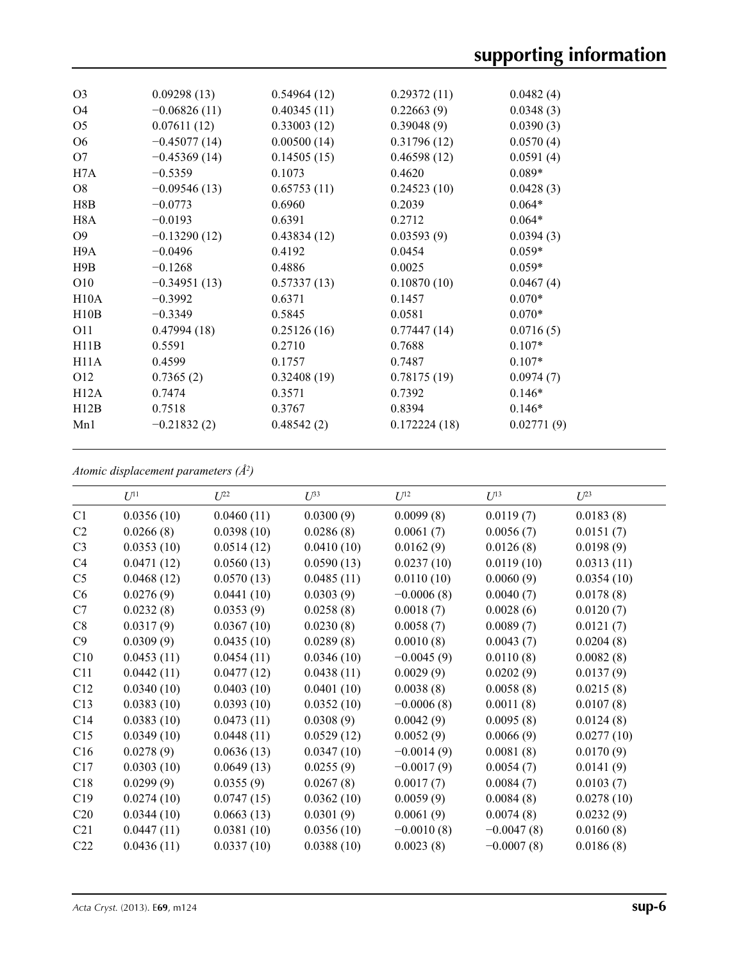| O <sub>3</sub>  | 0.09298(13)    | 0.54964(12) | 0.29372(11)  | 0.0482(4)  |
|-----------------|----------------|-------------|--------------|------------|
| O <sub>4</sub>  | $-0.06826(11)$ | 0.40345(11) | 0.22663(9)   | 0.0348(3)  |
| O <sub>5</sub>  | 0.07611(12)    | 0.33003(12) | 0.39048(9)   | 0.0390(3)  |
| O <sub>6</sub>  | $-0.45077(14)$ | 0.00500(14) | 0.31796(12)  | 0.0570(4)  |
| O7              | $-0.45369(14)$ | 0.14505(15) | 0.46598(12)  | 0.0591(4)  |
| H7A             | $-0.5359$      | 0.1073      | 0.4620       | $0.089*$   |
| O8              | $-0.09546(13)$ | 0.65753(11) | 0.24523(10)  | 0.0428(3)  |
| H8B             | $-0.0773$      | 0.6960      | 0.2039       | $0.064*$   |
| H8A             | $-0.0193$      | 0.6391      | 0.2712       | $0.064*$   |
| O <sub>9</sub>  | $-0.13290(12)$ | 0.43834(12) | 0.03593(9)   | 0.0394(3)  |
| H9A             | $-0.0496$      | 0.4192      | 0.0454       | $0.059*$   |
| H9B             | $-0.1268$      | 0.4886      | 0.0025       | $0.059*$   |
| O <sub>10</sub> | $-0.34951(13)$ | 0.57337(13) | 0.10870(10)  | 0.0467(4)  |
| H10A            | $-0.3992$      | 0.6371      | 0.1457       | $0.070*$   |
| H10B            | $-0.3349$      | 0.5845      | 0.0581       | $0.070*$   |
| O11             | 0.47994(18)    | 0.25126(16) | 0.77447(14)  | 0.0716(5)  |
| H11B            | 0.5591         | 0.2710      | 0.7688       | $0.107*$   |
| H11A            | 0.4599         | 0.1757      | 0.7487       | $0.107*$   |
| O <sub>12</sub> | 0.7365(2)      | 0.32408(19) | 0.78175(19)  | 0.0974(7)  |
| H12A            | 0.7474         | 0.3571      | 0.7392       | $0.146*$   |
| H12B            | 0.7518         | 0.3767      | 0.8394       | $0.146*$   |
| Mn1             | $-0.21832(2)$  | 0.48542(2)  | 0.172224(18) | 0.02771(9) |
|                 |                |             |              |            |

*Atomic displacement parameters (Å2 )*

|                 | $U^{11}$   | $U^{22}$   | $\mathcal{L}^{\beta 3}$ | $U^{12}$     | $U^{13}$     | $L^{23}$   |
|-----------------|------------|------------|-------------------------|--------------|--------------|------------|
| C1              | 0.0356(10) | 0.0460(11) | 0.0300(9)               | 0.0099(8)    | 0.0119(7)    | 0.0183(8)  |
| C <sub>2</sub>  | 0.0266(8)  | 0.0398(10) | 0.0286(8)               | 0.0061(7)    | 0.0056(7)    | 0.0151(7)  |
| C <sub>3</sub>  | 0.0353(10) | 0.0514(12) | 0.0410(10)              | 0.0162(9)    | 0.0126(8)    | 0.0198(9)  |
| C <sub>4</sub>  | 0.0471(12) | 0.0560(13) | 0.0590(13)              | 0.0237(10)   | 0.0119(10)   | 0.0313(11) |
| C <sub>5</sub>  | 0.0468(12) | 0.0570(13) | 0.0485(11)              | 0.0110(10)   | 0.0060(9)    | 0.0354(10) |
| C6              | 0.0276(9)  | 0.0441(10) | 0.0303(9)               | $-0.0006(8)$ | 0.0040(7)    | 0.0178(8)  |
| C7              | 0.0232(8)  | 0.0353(9)  | 0.0258(8)               | 0.0018(7)    | 0.0028(6)    | 0.0120(7)  |
| C8              | 0.0317(9)  | 0.0367(10) | 0.0230(8)               | 0.0058(7)    | 0.0089(7)    | 0.0121(7)  |
| C9              | 0.0309(9)  | 0.0435(10) | 0.0289(8)               | 0.0010(8)    | 0.0043(7)    | 0.0204(8)  |
| C10             | 0.0453(11) | 0.0454(11) | 0.0346(10)              | $-0.0045(9)$ | 0.0110(8)    | 0.0082(8)  |
| C11             | 0.0442(11) | 0.0477(12) | 0.0438(11)              | 0.0029(9)    | 0.0202(9)    | 0.0137(9)  |
| C12             | 0.0340(10) | 0.0403(10) | 0.0401(10)              | 0.0038(8)    | 0.0058(8)    | 0.0215(8)  |
| C13             | 0.0383(10) | 0.0393(10) | 0.0352(10)              | $-0.0006(8)$ | 0.0011(8)    | 0.0107(8)  |
| C14             | 0.0383(10) | 0.0473(11) | 0.0308(9)               | 0.0042(9)    | 0.0095(8)    | 0.0124(8)  |
| C15             | 0.0349(10) | 0.0448(11) | 0.0529(12)              | 0.0052(9)    | 0.0066(9)    | 0.0277(10) |
| C16             | 0.0278(9)  | 0.0636(13) | 0.0347(10)              | $-0.0014(9)$ | 0.0081(8)    | 0.0170(9)  |
| C17             | 0.0303(10) | 0.0649(13) | 0.0255(9)               | $-0.0017(9)$ | 0.0054(7)    | 0.0141(9)  |
| C18             | 0.0299(9)  | 0.0355(9)  | 0.0267(8)               | 0.0017(7)    | 0.0084(7)    | 0.0103(7)  |
| C19             | 0.0274(10) | 0.0747(15) | 0.0362(10)              | 0.0059(9)    | 0.0084(8)    | 0.0278(10) |
| C20             | 0.0344(10) | 0.0663(13) | 0.0301(9)               | 0.0061(9)    | 0.0074(8)    | 0.0232(9)  |
| C21             | 0.0447(11) | 0.0381(10) | 0.0356(10)              | $-0.0010(8)$ | $-0.0047(8)$ | 0.0160(8)  |
| C <sub>22</sub> | 0.0436(11) | 0.0337(10) | 0.0388(10)              | 0.0023(8)    | $-0.0007(8)$ | 0.0186(8)  |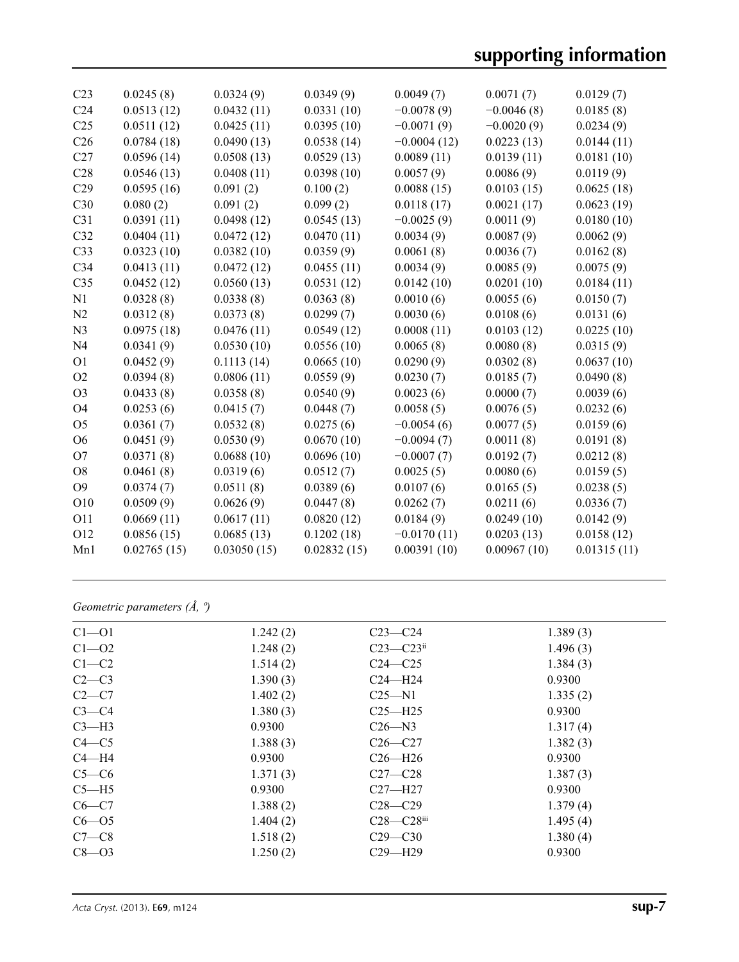## **supporting information**

| C <sub>23</sub> | 0.0245(8)   | 0.0324(9)   | 0.0349(9)   | 0.0049(7)     | 0.0071(7)    | 0.0129(7)   |
|-----------------|-------------|-------------|-------------|---------------|--------------|-------------|
| C <sub>24</sub> | 0.0513(12)  | 0.0432(11)  | 0.0331(10)  | $-0.0078(9)$  | $-0.0046(8)$ | 0.0185(8)   |
| C <sub>25</sub> | 0.0511(12)  | 0.0425(11)  | 0.0395(10)  | $-0.0071(9)$  | $-0.0020(9)$ | 0.0234(9)   |
| C <sub>26</sub> | 0.0784(18)  | 0.0490(13)  | 0.0538(14)  | $-0.0004(12)$ | 0.0223(13)   | 0.0144(11)  |
| C27             | 0.0596(14)  | 0.0508(13)  | 0.0529(13)  | 0.0089(11)    | 0.0139(11)   | 0.0181(10)  |
| C28             | 0.0546(13)  | 0.0408(11)  | 0.0398(10)  | 0.0057(9)     | 0.0086(9)    | 0.0119(9)   |
| C29             | 0.0595(16)  | 0.091(2)    | 0.100(2)    | 0.0088(15)    | 0.0103(15)   | 0.0625(18)  |
| C30             | 0.080(2)    | 0.091(2)    | 0.099(2)    | 0.0118(17)    | 0.0021(17)   | 0.0623(19)  |
| C31             | 0.0391(11)  | 0.0498(12)  | 0.0545(13)  | $-0.0025(9)$  | 0.0011(9)    | 0.0180(10)  |
| C32             | 0.0404(11)  | 0.0472(12)  | 0.0470(11)  | 0.0034(9)     | 0.0087(9)    | 0.0062(9)   |
| C33             | 0.0323(10)  | 0.0382(10)  | 0.0359(9)   | 0.0061(8)     | 0.0036(7)    | 0.0162(8)   |
| C34             | 0.0413(11)  | 0.0472(12)  | 0.0455(11)  | 0.0034(9)     | 0.0085(9)    | 0.0075(9)   |
| C <sub>35</sub> | 0.0452(12)  | 0.0560(13)  | 0.0531(12)  | 0.0142(10)    | 0.0201(10)   | 0.0184(11)  |
| N1              | 0.0328(8)   | 0.0338(8)   | 0.0363(8)   | 0.0010(6)     | 0.0055(6)    | 0.0150(7)   |
| N <sub>2</sub>  | 0.0312(8)   | 0.0373(8)   | 0.0299(7)   | 0.0030(6)     | 0.0108(6)    | 0.0131(6)   |
| N <sub>3</sub>  | 0.0975(18)  | 0.0476(11)  | 0.0549(12)  | 0.0008(11)    | 0.0103(12)   | 0.0225(10)  |
| N <sub>4</sub>  | 0.0341(9)   | 0.0530(10)  | 0.0556(10)  | 0.0065(8)     | 0.0080(8)    | 0.0315(9)   |
| O <sub>1</sub>  | 0.0452(9)   | 0.1113(14)  | 0.0665(10)  | 0.0290(9)     | 0.0302(8)    | 0.0637(10)  |
| O <sub>2</sub>  | 0.0394(8)   | 0.0806(11)  | 0.0559(9)   | 0.0230(7)     | 0.0185(7)    | 0.0490(8)   |
| O <sub>3</sub>  | 0.0433(8)   | 0.0358(8)   | 0.0540(9)   | 0.0023(6)     | 0.0000(7)    | 0.0039(6)   |
| O <sub>4</sub>  | 0.0253(6)   | 0.0415(7)   | 0.0448(7)   | 0.0058(5)     | 0.0076(5)    | 0.0232(6)   |
| O <sub>5</sub>  | 0.0361(7)   | 0.0532(8)   | 0.0275(6)   | $-0.0054(6)$  | 0.0077(5)    | 0.0159(6)   |
| O <sub>6</sub>  | 0.0451(9)   | 0.0530(9)   | 0.0670(10)  | $-0.0094(7)$  | 0.0011(8)    | 0.0191(8)   |
| O7              | 0.0371(8)   | 0.0688(10)  | 0.0696(10)  | $-0.0007(7)$  | 0.0192(7)    | 0.0212(8)   |
| O <sub>8</sub>  | 0.0461(8)   | 0.0319(6)   | 0.0512(7)   | 0.0025(5)     | 0.0080(6)    | 0.0159(5)   |
| O <sub>9</sub>  | 0.0374(7)   | 0.0511(8)   | 0.0389(6)   | 0.0107(6)     | 0.0165(5)    | 0.0238(5)   |
| O10             | 0.0509(9)   | 0.0626(9)   | 0.0447(8)   | 0.0262(7)     | 0.0211(6)    | 0.0336(7)   |
| O11             | 0.0669(11)  | 0.0617(11)  | 0.0820(12)  | 0.0184(9)     | 0.0249(10)   | 0.0142(9)   |
| O12             | 0.0856(15)  | 0.0685(13)  | 0.1202(18)  | $-0.0170(11)$ | 0.0203(13)   | 0.0158(12)  |
| Mn1             | 0.02765(15) | 0.03050(15) | 0.02832(15) | 0.00391(10)   | 0.00967(10)  | 0.01315(11) |
|                 |             |             |             |               |              |             |

*Geometric parameters (Å, º)*

| $Cl-O1$   | 1.242(2) | $C23-C24$               | 1.389(3) |
|-----------|----------|-------------------------|----------|
| $C1 - 02$ | 1.248(2) | $C23-C23$ <sup>ii</sup> | 1.496(3) |
| $C1-C2$   | 1.514(2) | $C24 - C25$             | 1.384(3) |
| $C2-C3$   | 1.390(3) | $C24 - H24$             | 0.9300   |
| $C2-C7$   | 1.402(2) | $C25 - N1$              | 1.335(2) |
| $C3-C4$   | 1.380(3) | $C25 - H25$             | 0.9300   |
| $C3-H3$   | 0.9300   | $C26 - N3$              | 1.317(4) |
| $C4 - C5$ | 1.388(3) | $C26 - C27$             | 1.382(3) |
| $C4 - H4$ | 0.9300   | $C26 - H26$             | 0.9300   |
| $C5-C6$   | 1.371(3) | $C27-C28$               | 1.387(3) |
| $C5 - H5$ | 0.9300   | $C27 - H27$             | 0.9300   |
| $C6-C7$   | 1.388(2) | $C28 - C29$             | 1.379(4) |
| $C6 - O5$ | 1.404(2) | $C28 - C28$             | 1.495(4) |
| $C7-C8$   | 1.518(2) | $C29 - C30$             | 1.380(4) |
| $C8 - O3$ | 1.250(2) | $C29 - H29$             | 0.9300   |
|           |          |                         |          |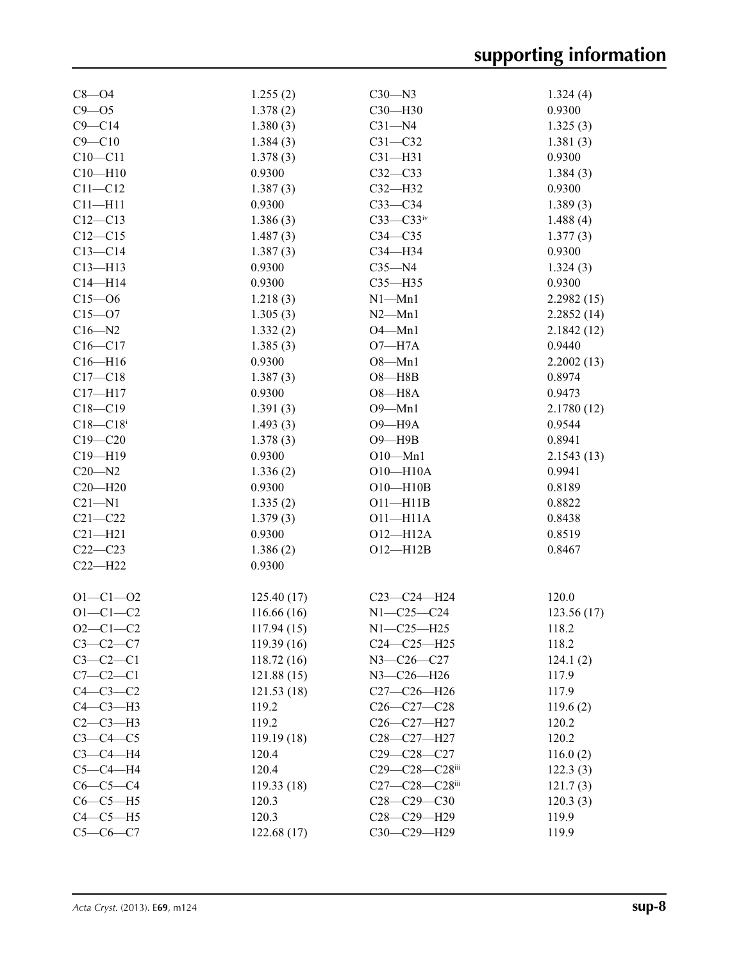| $C8 - O4$                | 1.255(2)    | $C30 - N3$        | 1.324(4)   |
|--------------------------|-------------|-------------------|------------|
| $C9 - 05$                | 1.378(2)    | C30-H30           | 0.9300     |
| $C9 - C14$               | 1.380(3)    | $C31 - N4$        | 1.325(3)   |
| $C9 - C10$               | 1.384(3)    | $C31 - C32$       | 1.381(3)   |
| $C10 - C11$              | 1.378(3)    | $C31 - H31$       | 0.9300     |
| $C10 - H10$              | 0.9300      | $C32-C33$         | 1.384(3)   |
| $C11 - C12$              | 1.387(3)    | $C32 - H32$       | 0.9300     |
| $C11 - H11$              | 0.9300      | $C33-C34$         | 1.389(3)   |
| $C12 - C13$              | 1.386(3)    | $C33-C33$ iv      | 1.488(4)   |
| $C12 - C15$              | 1.487(3)    | $C34 - C35$       | 1.377(3)   |
| $C13-C14$                | 1.387(3)    | C34-H34           | 0.9300     |
| $C13 - H13$              | 0.9300      | $C35 - N4$        | 1.324(3)   |
| $C14 - H14$              | 0.9300      | $C35 - H35$       | 0.9300     |
| $C15 - 06$               | 1.218(3)    | $N1 - Mn1$        | 2.2982(15) |
| $C15 - 07$               |             | $N2 - Mn1$        | 2.2852(14) |
| $C16 - N2$               | 1.305(3)    |                   |            |
|                          | 1.332(2)    | $O4 - Mn1$        | 2.1842(12) |
| $C16 - C17$              | 1.385(3)    | $O7 - H7A$        | 0.9440     |
| $C16 - H16$              | 0.9300      | $O8 - Mn1$        | 2.2002(13) |
| $C17 - C18$              | 1.387(3)    | $O8 - H8B$        | 0.8974     |
| $C17 - H17$              | 0.9300      | $O8 - H8A$        | 0.9473     |
| $C18 - C19$              | 1.391(3)    | $O9 - Mn1$        | 2.1780(12) |
| $C18 - C18$ <sup>i</sup> | 1.493(3)    | O9-H9A            | 0.9544     |
| $C19 - C20$              | 1.378(3)    | $O9 - H9B$        | 0.8941     |
| $C19 - H19$              | 0.9300      | $O10 - Mn1$       | 2.1543(13) |
| $C20 - N2$               | 1.336(2)    | $O10 - H10A$      | 0.9941     |
| $C20 - H20$              | 0.9300      | $O10 - H10B$      | 0.8189     |
| $C21 - N1$               | 1.335(2)    | $O11 - H11B$      | 0.8822     |
| $C21 - C22$              | 1.379(3)    | $O11 - H11A$      | 0.8438     |
| $C21 - H21$              | 0.9300      | $O12 - H12A$      | 0.8519     |
| $C22-C23$                | 1.386(2)    | $O12 - H12B$      | 0.8467     |
| $C22-H22$                | 0.9300      |                   |            |
|                          |             |                   |            |
| $O1 - C1 - O2$           | 125.40(17)  | $C23-C24-H24$     | 120.0      |
| $O1 - C1 - C2$           | 116.66(16)  | $N1 - C25 - C24$  | 123.56(17) |
| $O2 - C1 - C2$           | 117.94(15)  | $N1 - C25 - H25$  | 118.2      |
| $C3 - C2 - C7$           | 119.39(16)  | $C24 - C25 - H25$ | 118.2      |
| $C3-C2-C1$               | 118.72(16)  | $N3 - C26 - C27$  | 124.1(2)   |
| $C7-C2-C1$               | 121.88(15)  | N3-C26-H26        | 117.9      |
| $C4-C3-C2$               | 121.53(18)  | $C27-C26-H26$     | 117.9      |
| $C4-C3-H3$               | 119.2       | $C26-C27-C28$     | 119.6(2)   |
| $C2-C3-H3$               | 119.2       | C26-C27-H27       | 120.2      |
| $C3-C4-C5$               | 119.19(18)  | C28-C27-H27       | 120.2      |
| $C3-C4-H4$               | 120.4       | $C29 - C28 - C27$ | 116.0(2)   |
| $C5-C4-H4$               | 120.4       | C29-C28-C28iii    | 122.3(3)   |
| $C6-C5-C4$               | 119.33(18)  | C27-C28-C28iii    | 121.7(3)   |
| $C6-C5-H5$               | 120.3       | $C28-C29-C30$     | 120.3(3)   |
| $C4-C5-H5$               | 120.3       | C28-C29-H29       | 119.9      |
| $C5-C6-C7$               | 122.68 (17) | C30-C29-H29       | 119.9      |
|                          |             |                   |            |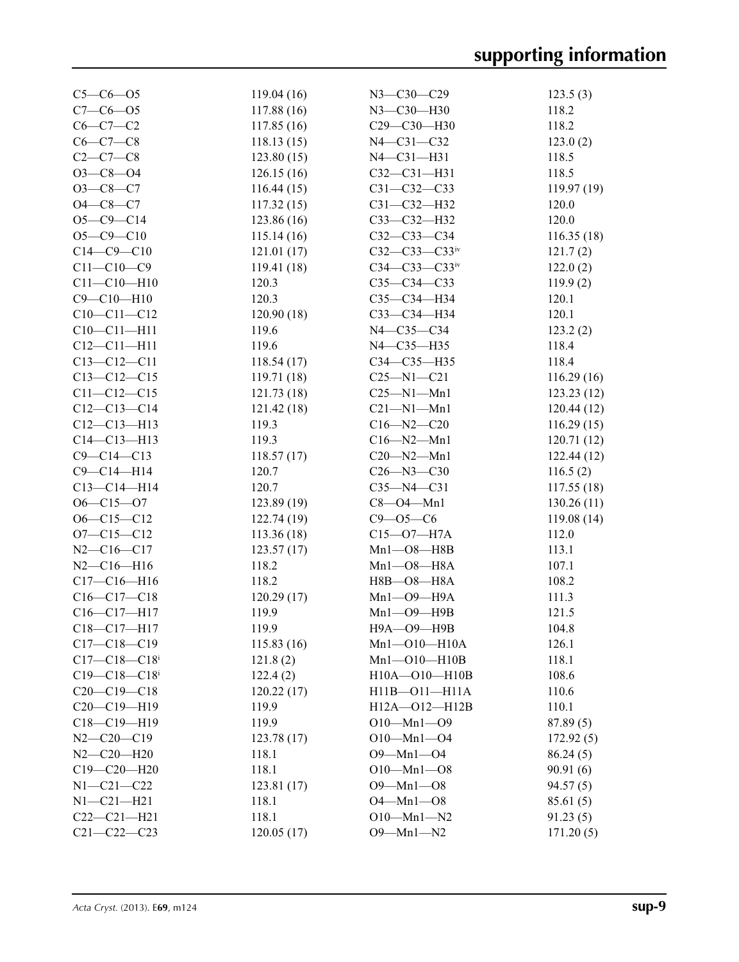| $C5 - C6 - O5$                 | 119.04(16)  | $N3 - C30 - C29$                | 123.5(3)    |
|--------------------------------|-------------|---------------------------------|-------------|
| $C7 - C6 - O5$                 | 117.88(16)  | N3-C30-H30                      | 118.2       |
| $C6-C7-C2$                     | 117.85(16)  | C29-C30-H30                     | 118.2       |
| $C6-C7-C8$                     | 118.13(15)  | N4-C31-C32                      | 123.0(2)    |
| $C2-C7-C8$                     | 123.80(15)  | $N4 - C31 - H31$                | 118.5       |
| $O3 - C8 - O4$                 | 126.15(16)  | $C32-C31-H31$                   | 118.5       |
| $O3-C8-C7$                     | 116.44(15)  | $C31 - C32 - C33$               | 119.97 (19) |
| $O4 - C8 - C7$                 | 117.32(15)  | C31-C32-H32                     | 120.0       |
| $O5 - C9 - C14$                | 123.86(16)  | C33-C32-H32                     | 120.0       |
| $O5 - C9 - C10$                | 115.14(16)  | $C32 - C33 - C34$               | 116.35(18)  |
| $C14 - C9 - C10$               | 121.01 (17) | $C32 - C33 - C33$ iv            | 121.7(2)    |
| $C11 - C10 - C9$               | 119.41(18)  | $C34 - C33 - C33$ <sup>iv</sup> | 122.0(2)    |
| $C11 - C10 - H10$              | 120.3       | $C35-C34-C33$                   | 119.9(2)    |
| $C9 - C10 - H10$               | 120.3       | C35-C34-H34                     | 120.1       |
| $C10-C11-C12$                  | 120.90(18)  | СЗЗ-СЗ4-НЗ4                     | 120.1       |
| $C10 - C11 - H11$              | 119.6       | $N4 - C35 - C34$                | 123.2(2)    |
| $C12 - C11 - H11$              | 119.6       | N4-C35-H35                      | 118.4       |
| $C13 - C12 - C11$              | 118.54(17)  | C34-C35-H35                     | 118.4       |
| $C13 - C12 - C15$              | 119.71 (18) | $C25 - N1 - C21$                | 116.29(16)  |
| $C11 - C12 - C15$              | 121.73(18)  | $C25 - N1 - Mn1$                | 123.23(12)  |
| $C12-C13-C14$                  | 121.42(18)  | $C21 - N1 - Mn1$                | 120.44(12)  |
| $C12 - C13 - H13$              | 119.3       | $C16 - N2 - C20$                | 116.29(15)  |
| $C14 - C13 - H13$              | 119.3       | $C16 - N2 - Mn1$                | 120.71(12)  |
| $C9 - C14 - C13$               | 118.57(17)  | $C20 - N2 - Mn1$                | 122.44(12)  |
| $C9 - C14 - H14$               | 120.7       | $C26 - N3 - C30$                | 116.5(2)    |
| $C13 - C14 - H14$              | 120.7       | $C35 - N4 - C31$                | 117.55(18)  |
| $O6 - C15 - O7$                | 123.89(19)  | $C8 - O4 - Mn1$                 | 130.26(11)  |
| $O6 - C15 - C12$               | 122.74(19)  | $C9 - 05 - C6$                  | 119.08(14)  |
| $O7 - C15 - C12$               | 113.36(18)  | $C15 - O7 - H7A$                | 112.0       |
| $N2 - C16 - C17$               | 123.57(17)  | $Mn1 - O8 - H8B$                | 113.1       |
| $N2 - C16 - H16$               | 118.2       | $Mn1 - O8 - H8A$                | 107.1       |
| $C17 - C16 - H16$              | 118.2       | Н8В-О8-Н8А                      | 108.2       |
| $C16 - C17 - C18$              | 120.29(17)  | $Mn1 - O9 - H9A$                | 111.3       |
| C16-C17-H17                    | 119.9       | $Mn1 - O9 - H9B$                | 121.5       |
| C18-C17-H17                    | 119.9       | Н9А-О9-Н9В                      | 104.8       |
| $C17 - C18 - C19$              | 115.83(16)  | $Mn1 - O10 - H10A$              | 126.1       |
| $C17 - C18 - C18$ <sup>i</sup> | 121.8(2)    | $Mn1 - O10 - H10B$              | 118.1       |
| $C19 - C18 - C18$ <sup>i</sup> | 122.4(2)    | $H10A - O10 - H10B$             | 108.6       |
| $C20-C19-C18$                  | 120.22(17)  | H11B-011-H11A                   | 110.6       |
| $C20-C19-H19$                  | 119.9       | H12A-O12-H12B                   | 110.1       |
| $C18 - C19 - H19$              | 119.9       | $O10 - Mn1 - O9$                | 87.89(5)    |
| $N2 - C20 - C19$               | 123.78(17)  | $O10 - Mn1 - O4$                | 172.92(5)   |
| $N2 - C20 - H20$               | 118.1       | $O9 - Mn1 - O4$                 | 86.24(5)    |
| C19-C20-H20                    | 118.1       | $O10 - Mn1 - O8$                | 90.91(6)    |
| $N1 - C21 - C22$               | 123.81(17)  | $O9 - Mn1 - O8$                 | 94.57(5)    |
| $N1 - C21 - H21$               | 118.1       | $O4 - Mn1 - O8$                 | 85.61(5)    |
| $C22-C21-H21$                  | 118.1       | $O10 - Mn1 - N2$                | 91.23(5)    |
| $C21 - C22 - C23$              |             | $O9 - Mn1 - N2$                 |             |
|                                | 120.05(17)  |                                 | 171.20(5)   |